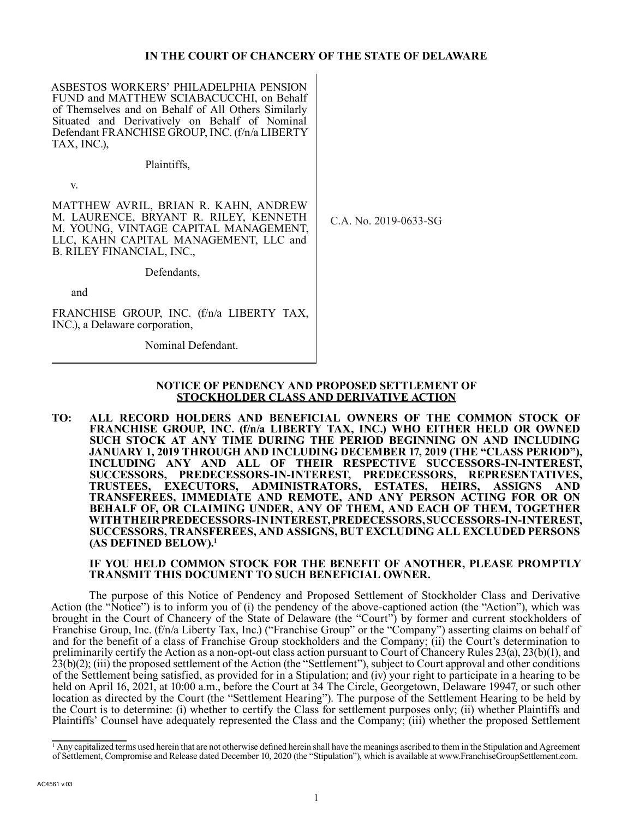## **IN THE COURT OF CHANCERY OF THE STATE OF DELAWARE**

ASBESTOS WORKERS' PHILADELPHIA PENSION FUND and MATTHEW SCIABACUCCHI, on Behalf of Themselves and on Behalf of All Others Similarly Situated and Derivatively on Behalf of Nominal Defendant FRANCHISE GROUP, INC. (f/n/a LIBERTY TAX, INC.),

Plaintiffs,

v.

MATTHEW AVRIL, BRIAN R. KAHN, ANDREW M. LAURENCE, BRYANT R. RILEY, KENNETH M. YOUNG, VINTAGE CAPITAL MANAGEMENT, LLC, KAHN CAPITAL MANAGEMENT, LLC and B. RILEY FINANCIAL, INC.,

Defendants,

and

FRANCHISE GROUP, INC. (f/n/a LIBERTY TAX, INC.), a Delaware corporation,

Nominal Defendant.

C.A. No. 2019-0633-SG

# **NOTICE OF PENDENCY AND PROPOSED SETTLEMENT OF STOCKHOLDER CLASS AND DERIVATIVE ACTION**

**TO: ALL RECORD HOLDERS AND BENEFICIAL OWNERS OF THE COMMON STOCK OF**  FRANCHISE GROUP, INC. (f/n/a LIBERTY TAX, INC.) WHO EITHER HELD OR OWNED **SUCH STOCK AT ANY TIME DURING THE PERIOD BEGINNING ON AND INCLUDING JANUARY 1, 2019 THROUGH AND INCLUDING DECEMBER 17, 2019 (THE "CLASS PERIOD"),**  INCLUDING ANY AND ALL OF THEIR RESPECTIVE SUCCESSORS-IN-INTEREST, **SUCCESSORS, PREDECESSORS-IN-INTEREST, PREDECESSORS, REPRESENTATIVES, TRUSTEES, EXECUTORS, ADMINISTRATORS, ESTATES, HEIRS, ASSIGNS AND TRANSFEREES, IMMEDIATE AND REMOTE, AND ANY PERSON ACTING FOR OR ON BEHALF OF, OR CLAIMING UNDER, ANY OF THEM, AND EACH OF THEM, TOGETHER WITH THEIR PREDECESSORS-IN INTEREST, PREDECESSORS, SUCCESSORS-IN-INTEREST, SUCCESSORS, TRANSFEREES, AND ASSIGNS, BUT EXCLUDING ALL EXCLUDED PERSONS (AS DEFINED BELOW).1**

#### **IF YOU HELD COMMON STOCK FOR THE BENEFIT OF ANOTHER, PLEASE PROMPTLY TRANSMIT THIS DOCUMENT TO SUCH BENEFICIAL OWNER.**

The purpose of this Notice of Pendency and Proposed Settlement of Stockholder Class and Derivative Action (the "Notice") is to inform you of (i) the pendency of the above-captioned action (the "Action"), which was brought in the Court of Chancery of the State of Delaware (the "Court") by former and current stockholders of Franchise Group, Inc. (f/n/a Liberty Tax, Inc.) ("Franchise Group" or the "Company") asserting claims on behalf of and for the benefit of a class of Franchise Group stockholders and the Company; (ii) the Court's determination to preliminarily certify the Action as a non-opt-out class action pursuant to Court of Chancery Rules 23(a), 23(b)(1), and 23(b)(2); (iii) the proposed settlement of the Action (the "Settlement"), subject to Court approval and other conditions of the Settlement being satisfied, as provided for in a Stipulation; and (iv) your right to participate in a hearing to be held on April 16, 2021, at 10:00 a.m., before the Court at 34 The Circle, Georgetown, Delaware 19947, or such other location as directed by the Court (the "Settlement Hearing"). The purpose of the Settlement Hearing to be held by the Court is to determine: (i) whether to certify the Class for settlement purposes only; (ii) whether Plaintiffs and Plaintiffs' Counsel have adequately represented the Class and the Company; (iii) whether the proposed Settlement

<sup>&</sup>lt;sup>1</sup> Any capitalized terms used herein that are not otherwise defined herein shall have the meanings ascribed to them in the Stipulation and Agreement of Settlement, Compromise and Release dated December 10, 2020 (the "Stipulation"), which is available at www.FranchiseGroupSettlement.com.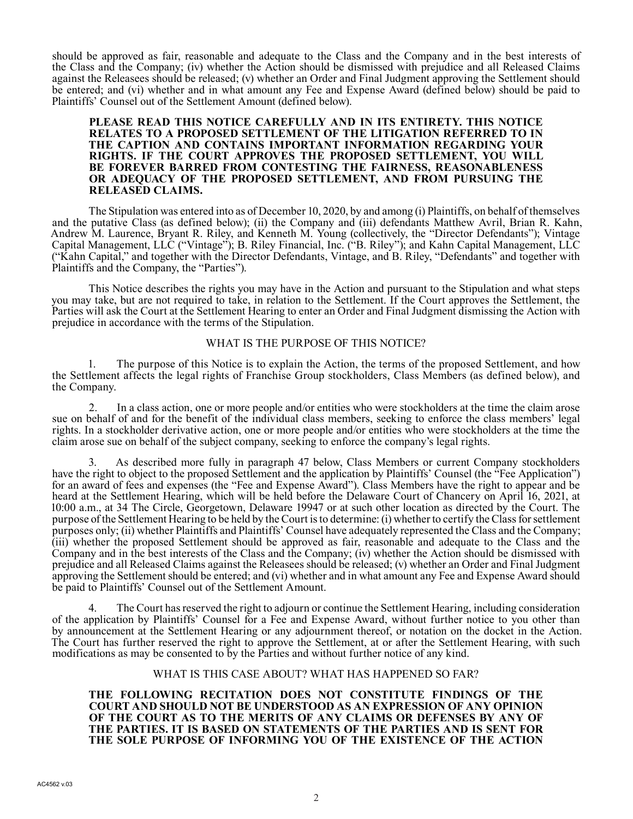should be approved as fair, reasonable and adequate to the Class and the Company and in the best interests of the Class and the Company; (iv) whether the Action should be dismissed with prejudice and all Released Claims against the Releasees should be released; (v) whether an Order and Final Judgment approving the Settlement should be entered; and (vi) whether and in what amount any Fee and Expense Award (defined below) should be paid to Plaintiffs' Counsel out of the Settlement Amount (defined below).

#### **PLEASE READ THIS NOTICE CAREFULLY AND IN ITS ENTIRETY. THIS NOTICE RELATES TO A PROPOSED SETTLEMENT OF THE LITIGATION REFERRED TO IN THE CAPTION AND CONTAINS IMPORTANT INFORMATION REGARDING YOUR RIGHTS. IF THE COURT APPROVES THE PROPOSED SETTLEMENT, YOU WILL BE FOREVER BARRED FROM CONTESTING THE FAIRNESS, REASONABLENESS OR ADEQUACY OF THE PROPOSED SETTLEMENT, AND FROM PURSUING THE RELEASED CLAIMS.**

The Stipulation was entered into as of December 10, 2020, by and among (i) Plaintiffs, on behalf of themselves and the putative Class (as defined below); (ii) the Company and (iii) defendants Matthew Avril, Brian R. Kahn, Andrew M. Laurence, Bryant R. Riley, and Kenneth M. Young (collectively, the "Director Defendants"); Vintage Capital Management, LLC ("Vintage"); B. Riley Financial, Inc. ("B. Riley"); and Kahn Capital Management, LLC ("Kahn Capital," and together with the Director Defendants, Vintage, and B. Riley, "Defendants" and together with Plaintiffs and the Company, the "Parties").

This Notice describes the rights you may have in the Action and pursuant to the Stipulation and what steps you may take, but are not required to take, in relation to the Settlement. If the Court approves the Settlement, the Parties will ask the Court at the Settlement Hearing to enter an Order and Final Judgment dismissing the Action with prejudice in accordance with the terms of the Stipulation.

# WHAT IS THE PURPOSE OF THIS NOTICE?

1. The purpose of this Notice is to explain the Action, the terms of the proposed Settlement, and how the Settlement affects the legal rights of Franchise Group stockholders, Class Members (as defined below), and the Company.

2. In a class action, one or more people and/or entities who were stockholders at the time the claim arose sue on behalf of and for the benefit of the individual class members, seeking to enforce the class members' legal rights. In a stockholder derivative action, one or more people and/or entities who were stockholders at the time the claim arose sue on behalf of the subject company, seeking to enforce the company's legal rights.

3. As described more fully in paragraph 47 below, Class Members or current Company stockholders have the right to object to the proposed Settlement and the application by Plaintiffs' Counsel (the "Fee Application") for an award of fees and expenses (the "Fee and Expense Award"). Class Members have the right to appear and be heard at the Settlement Hearing, which will be held before the Delaware Court of Chancery on April 16, 2021, at 10:00 a.m., at 34 The Circle, Georgetown, Delaware 19947 or at such other location as directed by the Court. The purpose of the Settlement Hearing to be held by the Court is to determine: (i) whether to certify the Class for settlement purposes only; (ii) whether Plaintiffs and Plaintiffs' Counsel have adequately represented the Class and the Company; (iii) whether the proposed Settlement should be approved as fair, reasonable and adequate to the Class and the Company and in the best interests of the Class and the Company; (iv) whether the Action should be dismissed with prejudice and all Released Claims against the Releasees should be released; (v) whether an Order and Final Judgment approving the Settlement should be entered; and (vi) whether and in what amount any Fee and Expense Award should be paid to Plaintiffs' Counsel out of the Settlement Amount.

4. The Court has reserved the right to adjourn or continue the Settlement Hearing, including consideration of the application by Plaintiffs' Counsel for a Fee and Expense Award, without further notice to you other than by announcement at the Settlement Hearing or any adjournment thereof, or notation on the docket in the Action. The Court has further reserved the right to approve the Settlement, at or after the Settlement Hearing, with such modifications as may be consented to by the Parties and without further notice of any kind.

## WHAT IS THIS CASE ABOUT? WHAT HAS HAPPENED SO FAR?

**THE FOLLOWING RECITATION DOES NOT CONSTITUTE FINDINGS OF THE COURT AND SHOULD NOT BE UNDERSTOOD AS AN EXPRESSION OF ANY OPINION OF THE COURT AS TO THE MERITS OF ANY CLAIMS OR DEFENSES BY ANY OF THE PARTIES. IT IS BASED ON STATEMENTS OF THE PARTIES AND IS SENT FOR THE SOLE PURPOSE OF INFORMING YOU OF THE EXISTENCE OF THE ACTION**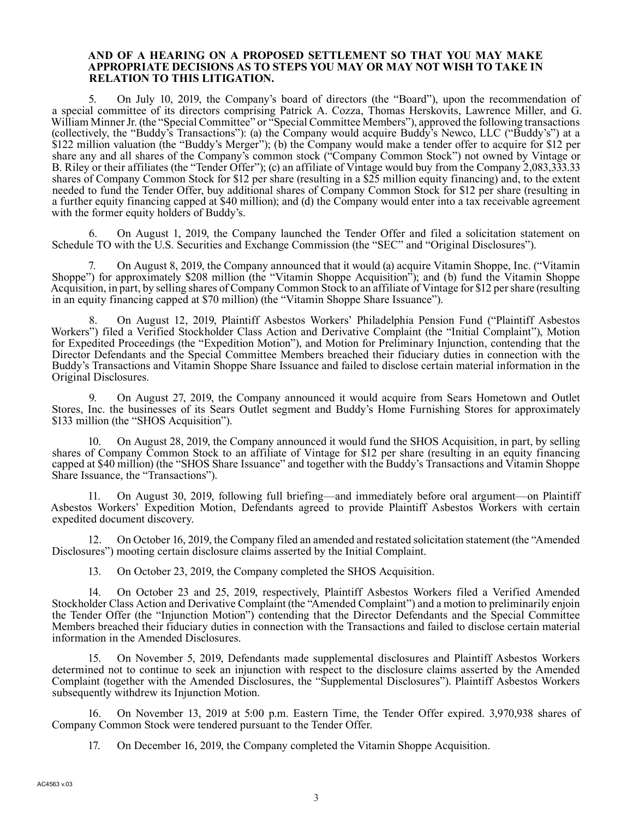#### **AND OF A HEARING ON A PROPOSED SETTLEMENT SO THAT YOU MAY MAKE APPROPRIATE DECISIONS AS TO STEPS YOU MAY OR MAY NOT WISH TO TAKE IN RELATION TO THIS LITIGATION.**

5. On July 10, 2019, the Company's board of directors (the "Board"), upon the recommendation of a special committee of its directors comprising Patrick A. Cozza, Thomas Herskovits, Lawrence Miller, and G. William Minner Jr. (the "Special Committee" or "Special Committee Members"), approved the following transactions (collectively, the "Buddy's Transactions"): (a) the Company would acquire Buddy's Newco, LLC ("Buddy's") at a \$122 million valuation (the "Buddy's Merger"); (b) the Company would make a tender offer to acquire for \$12 per share any and all shares of the Company's common stock ("Company Common Stock") not owned by Vintage or B. Riley or their affiliates (the "Tender Offer"); (c) an affiliate of Vintage would buy from the Company 2,083,333.33 shares of Company Common Stock for \$12 per share (resulting in a \$25 million equity financing) and, to the extent needed to fund the Tender Offer, buy additional shares of Company Common Stock for \$12 per share (resulting in a further equity financing capped at \$40 million); and (d) the Company would enter into a tax receivable agreement with the former equity holders of Buddy's.

6. On August 1, 2019, the Company launched the Tender Offer and filed a solicitation statement on Schedule TO with the U.S. Securities and Exchange Commission (the "SEC" and "Original Disclosures").

7. On August 8, 2019, the Company announced that it would (a) acquire Vitamin Shoppe, Inc. ("Vitamin Shoppe") for approximately \$208 million (the "Vitamin Shoppe Acquisition"); and (b) fund the Vitamin Shoppe Acquisition, in part, by selling shares of Company Common Stock to an affiliate of Vintage for \$12 per share (resulting in an equity financing capped at \$70 million) (the "Vitamin Shoppe Share Issuance").

8. On August 12, 2019, Plaintiff Asbestos Workers' Philadelphia Pension Fund ("Plaintiff Asbestos Workers") filed a Verified Stockholder Class Action and Derivative Complaint (the "Initial Complaint"), Motion for Expedited Proceedings (the "Expedition Motion"), and Motion for Preliminary Injunction, contending that the Director Defendants and the Special Committee Members breached their fiduciary duties in connection with the Buddy's Transactions and Vitamin Shoppe Share Issuance and failed to disclose certain material information in the Original Disclosures.

9. On August 27, 2019, the Company announced it would acquire from Sears Hometown and Outlet Stores, Inc. the businesses of its Sears Outlet segment and Buddy's Home Furnishing Stores for approximately \$133 million (the "SHOS Acquisition").

10. On August 28, 2019, the Company announced it would fund the SHOS Acquisition, in part, by selling shares of Company Common Stock to an affiliate of Vintage for \$12 per share (resulting in an equity financing capped at \$40 million) (the "SHOS Share Issuance" and together with the Buddy's Transactions and Vitamin Shoppe Share Issuance, the "Transactions").

11. On August 30, 2019, following full briefing—and immediately before oral argument—on Plaintiff Asbestos Workers' Expedition Motion, Defendants agreed to provide Plaintiff Asbestos Workers with certain expedited document discovery.

12. On October 16, 2019, the Company filed an amended and restated solicitation statement (the "Amended Disclosures") mooting certain disclosure claims asserted by the Initial Complaint.

13. On October 23, 2019, the Company completed the SHOS Acquisition.

14. On October 23 and 25, 2019, respectively, Plaintiff Asbestos Workers filed a Verified Amended Stockholder Class Action and Derivative Complaint (the "Amended Complaint") and a motion to preliminarily enjoin the Tender Offer (the "Injunction Motion") contending that the Director Defendants and the Special Committee Members breached their fiduciary duties in connection with the Transactions and failed to disclose certain material information in the Amended Disclosures.

15. On November 5, 2019, Defendants made supplemental disclosures and Plaintiff Asbestos Workers determined not to continue to seek an injunction with respect to the disclosure claims asserted by the Amended Complaint (together with the Amended Disclosures, the "Supplemental Disclosures"). Plaintiff Asbestos Workers subsequently withdrew its Injunction Motion.

16. On November 13, 2019 at 5:00 p.m. Eastern Time, the Tender Offer expired. 3,970,938 shares of Company Common Stock were tendered pursuant to the Tender Offer.

17. On December 16, 2019, the Company completed the Vitamin Shoppe Acquisition.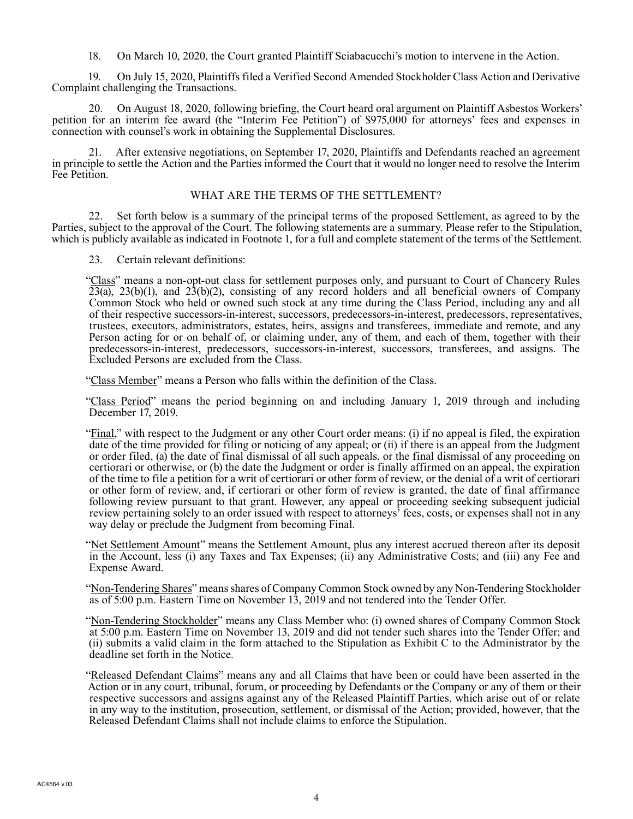18. On March 10, 2020, the Court granted Plaintiff Sciabacucchi's motion to intervene in the Action.

19. On July 15, 2020, Plaintiffs filed a Verified Second Amended Stockholder Class Action and Derivative Complaint challenging the Transactions.

20. On August 18, 2020, following briefing, the Court heard oral argument on Plaintiff Asbestos Workers' petition for an interim fee award (the "Interim Fee Petition") of \$975,000 for attorneys' fees and expenses in connection with counsel's work in obtaining the Supplemental Disclosures.

21. After extensive negotiations, on September 17, 2020, Plaintiffs and Defendants reached an agreement in principle to settle the Action and the Parties informed the Court that it would no longer need to resolve the Interim Fee Petition.

## WHAT ARE THE TERMS OF THE SETTLEMENT?

22. Set forth below is a summary of the principal terms of the proposed Settlement, as agreed to by the Parties, subject to the approval of the Court. The following statements are a summary. Please refer to the Stipulation, which is publicly available as indicated in Footnote 1, for a full and complete statement of the terms of the Settlement.

23. Certain relevant definitions:

"Class" means a non-opt-out class for settlement purposes only, and pursuant to Court of Chancery Rules  $23(a)$ ,  $23(b)(1)$ , and  $23(b)(2)$ , consisting of any record holders and all beneficial owners of Company Common Stock who held or owned such stock at any time during the Class Period, including any and all of their respective successors-in-interest, successors, predecessors-in-interest, predecessors, representatives, trustees, executors, administrators, estates, heirs, assigns and transferees, immediate and remote, and any Person acting for or on behalf of, or claiming under, any of them, and each of them, together with their predecessors-in-interest, predecessors, successors-in-interest, successors, transferees, and assigns. The Excluded Persons are excluded from the Class.

"Class Member" means a Person who falls within the definition of the Class.

"Class Period" means the period beginning on and including January 1, 2019 through and including December 17, 2019.

"Final," with respect to the Judgment or any other Court order means: (i) if no appeal is filed, the expiration date of the time provided for filing or noticing of any appeal; or (ii) if there is an appeal from the Judgment or order filed, (a) the date of final dismissal of all such appeals, or the final dismissal of any proceeding on certiorari or otherwise, or (b) the date the Judgment or order is finally affirmed on an appeal, the expiration of the time to file a petition for a writ of certiorari or other form of review, or the denial of a writ of certiorari or other form of review, and, if certiorari or other form of review is granted, the date of final affirmance following review pursuant to that grant. However, any appeal or proceeding seeking subsequent judicial review pertaining solely to an order issued with respect to attorneys' fees, costs, or expenses shall not in any way delay or preclude the Judgment from becoming Final.

"Net Settlement Amount" means the Settlement Amount, plus any interest accrued thereon after its deposit in the Account, less (i) any Taxes and Tax Expenses; (ii) any Administrative Costs; and (iii) any Fee and Expense Award.

"Non-Tendering Shares" means shares of Company Common Stock owned by any Non-Tendering Stockholder as of 5:00 p.m. Eastern Time on November 13, 2019 and not tendered into the Tender Offer.

"Non-Tendering Stockholder" means any Class Member who: (i) owned shares of Company Common Stock at 5:00 p.m. Eastern Time on November 13, 2019 and did not tender such shares into the Tender Offer; and (ii) submits a valid claim in the form attached to the Stipulation as Exhibit C to the Administrator by the deadline set forth in the Notice.

"Released Defendant Claims" means any and all Claims that have been or could have been asserted in the Action or in any court, tribunal, forum, or proceeding by Defendants or the Company or any of them or their respective successors and assigns against any of the Released Plaintiff Parties, which arise out of or relate in any way to the institution, prosecution, settlement, or dismissal of the Action; provided, however, that the Released Defendant Claims shall not include claims to enforce the Stipulation.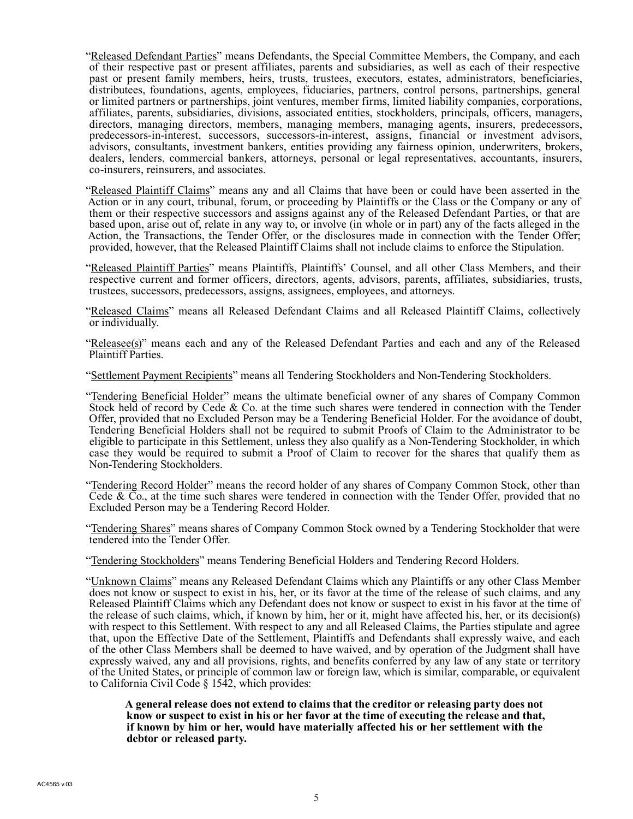"Released Defendant Parties" means Defendants, the Special Committee Members, the Company, and each of their respective past or present affiliates, parents and subsidiaries, as well as each of their respective past or present family members, heirs, trusts, trustees, executors, estates, administrators, beneficiaries, distributees, foundations, agents, employees, fiduciaries, partners, control persons, partnerships, general or limited partners or partnerships, joint ventures, member firms, limited liability companies, corporations, affiliates, parents, subsidiaries, divisions, associated entities, stockholders, principals, officers, managers, directors, managing directors, members, managing members, managing agents, insurers, predecessors, predecessors-in-interest, successors, successors-in-interest, assigns, financial or investment advisors, advisors, consultants, investment bankers, entities providing any fairness opinion, underwriters, brokers, dealers, lenders, commercial bankers, attorneys, personal or legal representatives, accountants, insurers, co-insurers, reinsurers, and associates.

"Released Plaintiff Claims" means any and all Claims that have been or could have been asserted in the Action or in any court, tribunal, forum, or proceeding by Plaintiffs or the Class or the Company or any of them or their respective successors and assigns against any of the Released Defendant Parties, or that are based upon, arise out of, relate in any way to, or involve (in whole or in part) any of the facts alleged in the Action, the Transactions, the Tender Offer, or the disclosures made in connection with the Tender Offer; provided, however, that the Released Plaintiff Claims shall not include claims to enforce the Stipulation.

"Released Plaintiff Parties" means Plaintiffs, Plaintiffs' Counsel, and all other Class Members, and their respective current and former officers, directors, agents, advisors, parents, affiliates, subsidiaries, trusts, trustees, successors, predecessors, assigns, assignees, employees, and attorneys.

"Released Claims" means all Released Defendant Claims and all Released Plaintiff Claims, collectively or individually.

"Releasee(s)" means each and any of the Released Defendant Parties and each and any of the Released Plaintiff Parties.

"Settlement Payment Recipients" means all Tendering Stockholders and Non-Tendering Stockholders.

"Tendering Beneficial Holder" means the ultimate beneficial owner of any shares of Company Common Stock held of record by Cede & Co. at the time such shares were tendered in connection with the Tender Offer, provided that no Excluded Person may be a Tendering Beneficial Holder. For the avoidance of doubt, Tendering Beneficial Holders shall not be required to submit Proofs of Claim to the Administrator to be eligible to participate in this Settlement, unless they also qualify as a Non-Tendering Stockholder, in which case they would be required to submit a Proof of Claim to recover for the shares that qualify them as Non-Tendering Stockholders.

"Tendering Record Holder" means the record holder of any shares of Company Common Stock, other than Cede & Co., at the time such shares were tendered in connection with the Tender Offer, provided that no Excluded Person may be a Tendering Record Holder.

"Tendering Shares" means shares of Company Common Stock owned by a Tendering Stockholder that were tendered into the Tender Offer.

"Tendering Stockholders" means Tendering Beneficial Holders and Tendering Record Holders.

"Unknown Claims" means any Released Defendant Claims which any Plaintiffs or any other Class Member does not know or suspect to exist in his, her, or its favor at the time of the release of such claims, and any Released Plaintiff Claims which any Defendant does not know or suspect to exist in his favor at the time of the release of such claims, which, if known by him, her or it, might have affected his, her, or its decision(s) with respect to this Settlement. With respect to any and all Released Claims, the Parties stipulate and agree that, upon the Effective Date of the Settlement, Plaintiffs and Defendants shall expressly waive, and each of the other Class Members shall be deemed to have waived, and by operation of the Judgment shall have expressly waived, any and all provisions, rights, and benefits conferred by any law of any state or territory of the United States, or principle of common law or foreign law, which is similar, comparable, or equivalent to California Civil Code § 1542, which provides:

**A general release does not extend to claims that the creditor or releasing party does not know or suspect to exist in his or her favor at the time of executing the release and that, if known by him or her, would have materially affected his or her settlement with the debtor or released party.**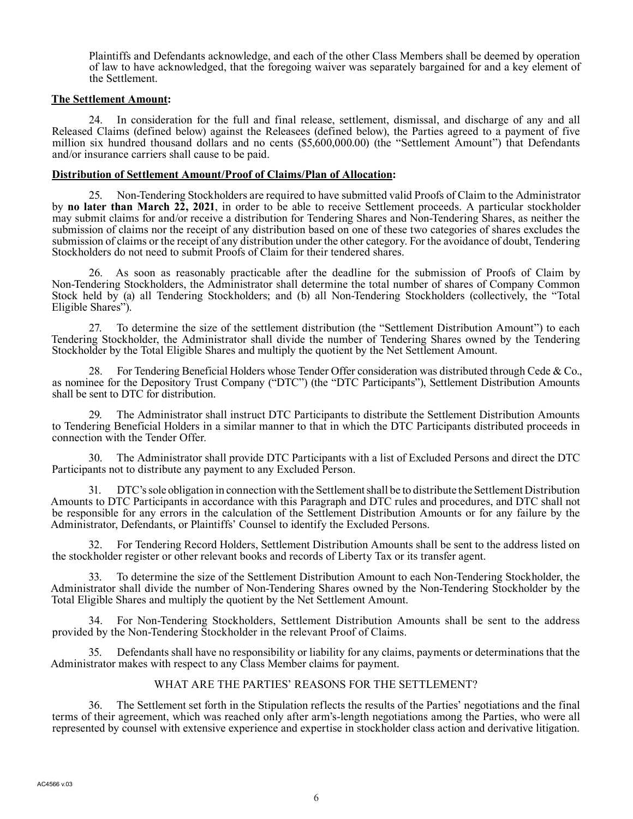Plaintiffs and Defendants acknowledge, and each of the other Class Members shall be deemed by operation of law to have acknowledged, that the foregoing waiver was separately bargained for and a key element of the Settlement.

## **The Settlement Amount:**

24. In consideration for the full and final release, settlement, dismissal, and discharge of any and all Released Claims (defined below) against the Releasees (defined below), the Parties agreed to a payment of five million six hundred thousand dollars and no cents (\$5,600,000.00) (the "Settlement Amount") that Defendants and/or insurance carriers shall cause to be paid.

## **Distribution of Settlement Amount/Proof of Claims/Plan of Allocation:**

25. Non-Tendering Stockholders are required to have submitted valid Proofs of Claim to the Administrator by **no later than March 22, 2021**, in order to be able to receive Settlement proceeds. A particular stockholder may submit claims for and/or receive a distribution for Tendering Shares and Non-Tendering Shares, as neither the submission of claims nor the receipt of any distribution based on one of these two categories of shares excludes the submission of claims or the receipt of any distribution under the other category. For the avoidance of doubt, Tendering Stockholders do not need to submit Proofs of Claim for their tendered shares.

26. As soon as reasonably practicable after the deadline for the submission of Proofs of Claim by Non-Tendering Stockholders, the Administrator shall determine the total number of shares of Company Common Stock held by (a) all Tendering Stockholders; and (b) all Non-Tendering Stockholders (collectively, the "Total Eligible Shares").

27. To determine the size of the settlement distribution (the "Settlement Distribution Amount") to each Tendering Stockholder, the Administrator shall divide the number of Tendering Shares owned by the Tendering Stockholder by the Total Eligible Shares and multiply the quotient by the Net Settlement Amount.

28. For Tendering Beneficial Holders whose Tender Offer consideration was distributed through Cede & Co., as nominee for the Depository Trust Company ("DTC") (the "DTC Participants"), Settlement Distribution Amounts shall be sent to DTC for distribution.

29. The Administrator shall instruct DTC Participants to distribute the Settlement Distribution Amounts to Tendering Beneficial Holders in a similar manner to that in which the DTC Participants distributed proceeds in connection with the Tender Offer.

30. The Administrator shall provide DTC Participants with a list of Excluded Persons and direct the DTC Participants not to distribute any payment to any Excluded Person.

31. DTC's sole obligation in connection with the Settlement shall be to distribute the Settlement Distribution Amounts to DTC Participants in accordance with this Paragraph and DTC rules and procedures, and DTC shall not be responsible for any errors in the calculation of the Settlement Distribution Amounts or for any failure by the Administrator, Defendants, or Plaintiffs' Counsel to identify the Excluded Persons.

32. For Tendering Record Holders, Settlement Distribution Amounts shall be sent to the address listed on the stockholder register or other relevant books and records of Liberty Tax or its transfer agent.

33. To determine the size of the Settlement Distribution Amount to each Non-Tendering Stockholder, the Administrator shall divide the number of Non-Tendering Shares owned by the Non-Tendering Stockholder by the Total Eligible Shares and multiply the quotient by the Net Settlement Amount.

34. For Non-Tendering Stockholders, Settlement Distribution Amounts shall be sent to the address provided by the Non-Tendering Stockholder in the relevant Proof of Claims.

35. Defendants shall have no responsibility or liability for any claims, payments or determinations that the Administrator makes with respect to any Class Member claims for payment.

# WHAT ARE THE PARTIES' REASONS FOR THE SETTLEMENT?

36. The Settlement set forth in the Stipulation reflects the results of the Parties' negotiations and the final terms of their agreement, which was reached only after arm's-length negotiations among the Parties, who were all represented by counsel with extensive experience and expertise in stockholder class action and derivative litigation.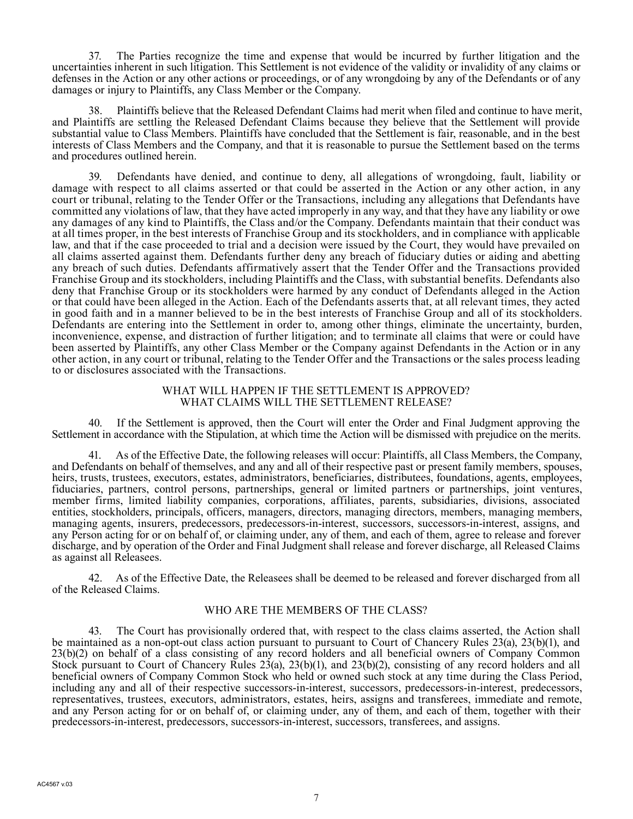37. The Parties recognize the time and expense that would be incurred by further litigation and the uncertainties inherent in such litigation. This Settlement is not evidence of the validity or invalidity of any claims or defenses in the Action or any other actions or proceedings, or of any wrongdoing by any of the Defendants or of any damages or injury to Plaintiffs, any Class Member or the Company.

38. Plaintiffs believe that the Released Defendant Claims had merit when filed and continue to have merit, and Plaintiffs are settling the Released Defendant Claims because they believe that the Settlement will provide substantial value to Class Members. Plaintiffs have concluded that the Settlement is fair, reasonable, and in the best interests of Class Members and the Company, and that it is reasonable to pursue the Settlement based on the terms and procedures outlined herein.

39. Defendants have denied, and continue to deny, all allegations of wrongdoing, fault, liability or damage with respect to all claims asserted or that could be asserted in the Action or any other action, in any court or tribunal, relating to the Tender Offer or the Transactions, including any allegations that Defendants have committed any violations of law, that they have acted improperly in any way, and that they have any liability or owe any damages of any kind to Plaintiffs, the Class and/or the Company. Defendants maintain that their conduct was at all times proper, in the best interests of Franchise Group and its stockholders, and in compliance with applicable law, and that if the case proceeded to trial and a decision were issued by the Court, they would have prevailed on all claims asserted against them. Defendants further deny any breach of fiduciary duties or aiding and abetting any breach of such duties. Defendants affirmatively assert that the Tender Offer and the Transactions provided Franchise Group and its stockholders, including Plaintiffs and the Class, with substantial benefits. Defendants also deny that Franchise Group or its stockholders were harmed by any conduct of Defendants alleged in the Action or that could have been alleged in the Action. Each of the Defendants asserts that, at all relevant times, they acted in good faith and in a manner believed to be in the best interests of Franchise Group and all of its stockholders. Defendants are entering into the Settlement in order to, among other things, eliminate the uncertainty, burden, inconvenience, expense, and distraction of further litigation; and to terminate all claims that were or could have been asserted by Plaintiffs, any other Class Member or the Company against Defendants in the Action or in any other action, in any court or tribunal, relating to the Tender Offer and the Transactions or the sales process leading to or disclosures associated with the Transactions.

### WHAT WILL HAPPEN IF THE SETTLEMENT IS APPROVED? WHAT CLAIMS WILL THE SETTLEMENT RELEASE?

40. If the Settlement is approved, then the Court will enter the Order and Final Judgment approving the Settlement in accordance with the Stipulation, at which time the Action will be dismissed with prejudice on the merits.

41. As of the Effective Date, the following releases will occur: Plaintiffs, all Class Members, the Company, and Defendants on behalf of themselves, and any and all of their respective past or present family members, spouses, heirs, trusts, trustees, executors, estates, administrators, beneficiaries, distributees, foundations, agents, employees, fiduciaries, partners, control persons, partnerships, general or limited partners or partnerships, joint ventures, member firms, limited liability companies, corporations, affiliates, parents, subsidiaries, divisions, associated entities, stockholders, principals, officers, managers, directors, managing directors, members, managing members, managing agents, insurers, predecessors, predecessors-in-interest, successors, successors-in-interest, assigns, and any Person acting for or on behalf of, or claiming under, any of them, and each of them, agree to release and forever discharge, and by operation of the Order and Final Judgment shall release and forever discharge, all Released Claims as against all Releasees.

42. As of the Effective Date, the Releasees shall be deemed to be released and forever discharged from all of the Released Claims.

# WHO ARE THE MEMBERS OF THE CLASS?

43. The Court has provisionally ordered that, with respect to the class claims asserted, the Action shall be maintained as a non-opt-out class action pursuant to pursuant to Court of Chancery Rules 23(a), 23(b)(1), and 23(b)(2) on behalf of a class consisting of any record holders and all beneficial owners of Company Common Stock pursuant to Court of Chancery Rules  $2\dot{3}$ (a),  $23(b)(1)$ , and  $23(b)(2)$ , consisting of any record holders and all beneficial owners of Company Common Stock who held or owned such stock at any time during the Class Period, including any and all of their respective successors-in-interest, successors, predecessors-in-interest, predecessors, representatives, trustees, executors, administrators, estates, heirs, assigns and transferees, immediate and remote, and any Person acting for or on behalf of, or claiming under, any of them, and each of them, together with their predecessors-in-interest, predecessors, successors-in-interest, successors, transferees, and assigns.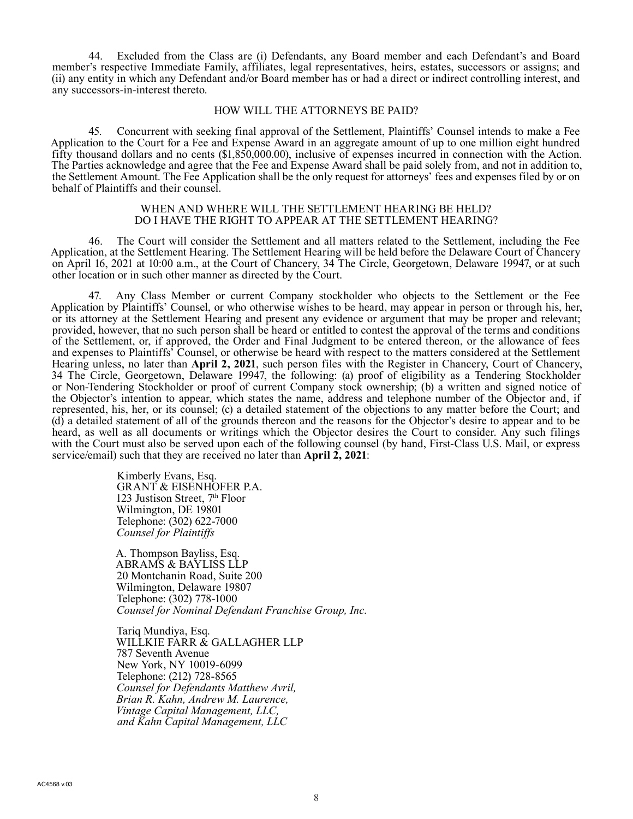44. Excluded from the Class are (i) Defendants, any Board member and each Defendant's and Board member's respective Immediate Family, affiliates, legal representatives, heirs, estates, successors or assigns; and (ii) any entity in which any Defendant and/or Board member has or had a direct or indirect controlling interest, and any successors-in-interest thereto.

#### HOW WILL THE ATTORNEYS BE PAID?

45. Concurrent with seeking final approval of the Settlement, Plaintiffs' Counsel intends to make a Fee Application to the Court for a Fee and Expense Award in an aggregate amount of up to one million eight hundred fifty thousand dollars and no cents (\$1,850,000.00), inclusive of expenses incurred in connection with the Action. The Parties acknowledge and agree that the Fee and Expense Award shall be paid solely from, and not in addition to, the Settlement Amount. The Fee Application shall be the only request for attorneys' fees and expenses filed by or on behalf of Plaintiffs and their counsel.

#### WHEN AND WHERE WILL THE SETTLEMENT HEARING BE HELD? DO I HAVE THE RIGHT TO APPEAR AT THE SETTLEMENT HEARING?

46. The Court will consider the Settlement and all matters related to the Settlement, including the Fee Application, at the Settlement Hearing. The Settlement Hearing will be held before the Delaware Court of Chancery on April 16, 2021 at 10:00 a.m., at the Court of Chancery, 34 The Circle, Georgetown, Delaware 19947, or at such other location or in such other manner as directed by the Court.

47. Any Class Member or current Company stockholder who objects to the Settlement or the Fee Application by Plaintiffs' Counsel, or who otherwise wishes to be heard, may appear in person or through his, her, or its attorney at the Settlement Hearing and present any evidence or argument that may be proper and relevant; provided, however, that no such person shall be heard or entitled to contest the approval of the terms and conditions of the Settlement, or, if approved, the Order and Final Judgment to be entered thereon, or the allowance of fees and expenses to Plaintiffs' Counsel, or otherwise be heard with respect to the matters considered at the Settlement Hearing unless, no later than **April 2, 2021**, such person files with the Register in Chancery, Court of Chancery, 34 The Circle, Georgetown, Delaware 19947, the following: (a) proof of eligibility as a Tendering Stockholder or Non-Tendering Stockholder or proof of current Company stock ownership; (b) a written and signed notice of the Objector's intention to appear, which states the name, address and telephone number of the Objector and, if represented, his, her, or its counsel; (c) a detailed statement of the objections to any matter before the Court; and (d) a detailed statement of all of the grounds thereon and the reasons for the Objector's desire to appear and to be heard, as well as all documents or writings which the Objector desires the Court to consider. Any such filings with the Court must also be served upon each of the following counsel (by hand, First-Class U.S. Mail, or express service/email) such that they are received no later than **April 2, 2021**:

> Kimberly Evans, Esq. GRANT & EISENHOFER P.A. 123 Justison Street,  $7<sup>th</sup>$  Floor Wilmington, DE 19801 Telephone: (302) 622-7000 *Counsel for Plaintiffs*

A. Thompson Bayliss, Esq. ABRAMS & BAYLISS LLP 20 Montchanin Road, Suite 200 Wilmington, Delaware 19807 Telephone: (302) 778-1000 *Counsel for Nominal Defendant Franchise Group, Inc.*

Tariq Mundiya, Esq. WILLKIE FARR & GALLAGHER LLP 787 Seventh Avenue New York, NY 10019-6099 Telephone: (212) 728-8565 *Counsel for Defendants Matthew Avril, Brian R. Kahn, Andrew M. Laurence, Vintage Capital Management, LLC, and Kahn Capital Management, LLC*